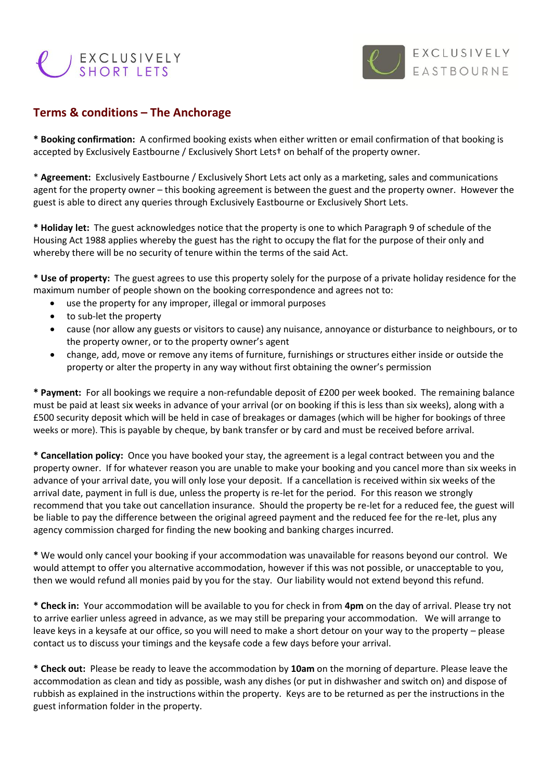



## **Terms & conditions – The Anchorage**

**\* Booking confirmation:** A confirmed booking exists when either written or email confirmation of that booking is accepted by Exclusively Eastbourne / Exclusively Short Lets† on behalf of the property owner.

\* **Agreement:** Exclusively Eastbourne / Exclusively Short Lets act only as a marketing, sales and communications agent for the property owner – this booking agreement is between the guest and the property owner. However the guest is able to direct any queries through Exclusively Eastbourne or Exclusively Short Lets.

**\* Holiday let:** The guest acknowledges notice that the property is one to which Paragraph 9 of schedule of the Housing Act 1988 applies whereby the guest has the right to occupy the flat for the purpose of their only and whereby there will be no security of tenure within the terms of the said Act.

**\* Use of property:** The guest agrees to use this property solely for the purpose of a private holiday residence for the maximum number of people shown on the booking correspondence and agrees not to:

- use the property for any improper, illegal or immoral purposes
- to sub-let the property
- cause (nor allow any guests or visitors to cause) any nuisance, annoyance or disturbance to neighbours, or to the property owner, or to the property owner's agent
- change, add, move or remove any items of furniture, furnishings or structures either inside or outside the property or alter the property in any way without first obtaining the owner's permission

**\* Payment:** For all bookings we require a non-refundable deposit of £200 per week booked. The remaining balance must be paid at least six weeks in advance of your arrival (or on booking if this is less than six weeks), along with a £500 security deposit which will be held in case of breakages or damages (which will be higher for bookings of three weeks or more). This is payable by cheque, by bank transfer or by card and must be received before arrival.

**\* Cancellation policy:** Once you have booked your stay, the agreement is a legal contract between you and the property owner. If for whatever reason you are unable to make your booking and you cancel more than six weeks in advance of your arrival date, you will only lose your deposit. If a cancellation is received within six weeks of the arrival date, payment in full is due, unless the property is re-let for the period. For this reason we strongly recommend that you take out cancellation insurance. Should the property be re-let for a reduced fee, the guest will be liable to pay the difference between the original agreed payment and the reduced fee for the re-let, plus any agency commission charged for finding the new booking and banking charges incurred.

**\*** We would only cancel your booking if your accommodation was unavailable for reasons beyond our control. We would attempt to offer you alternative accommodation, however if this was not possible, or unacceptable to you, then we would refund all monies paid by you for the stay. Our liability would not extend beyond this refund.

**\* Check in:** Your accommodation will be available to you for check in from **4pm** on the day of arrival. Please try not to arrive earlier unless agreed in advance, as we may still be preparing your accommodation. We will arrange to leave keys in a keysafe at our office, so you will need to make a short detour on your way to the property – please contact us to discuss your timings and the keysafe code a few days before your arrival.

**\* Check out:** Please be ready to leave the accommodation by **10am** on the morning of departure. Please leave the accommodation as clean and tidy as possible, wash any dishes (or put in dishwasher and switch on) and dispose of rubbish as explained in the instructions within the property. Keys are to be returned as per the instructions in the guest information folder in the property.